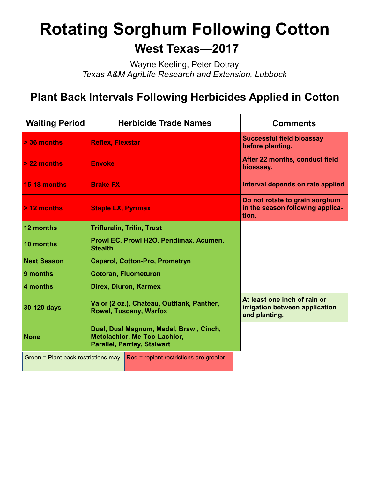# **Rotating Sorghum Following Cotton**

## **West Texas—2017**

Wayne Keeling, Peter Dotray *Texas A&M AgriLife Research and Extension, Lubbock*

## **Plant Back Intervals Following Herbicides Applied in Cotton**

| <b>Waiting Period</b>                                                         | <b>Herbicide Trade Names</b>                                                                                  | <b>Comments</b>                                                                 |
|-------------------------------------------------------------------------------|---------------------------------------------------------------------------------------------------------------|---------------------------------------------------------------------------------|
| $> 36$ months                                                                 | <b>Reflex, Flexstar</b>                                                                                       | <b>Successful field bioassay</b><br>before planting.                            |
| > 22 months                                                                   | <b>Envoke</b>                                                                                                 | After 22 months, conduct field<br>bioassay.                                     |
| 15-18 months                                                                  | <b>Brake FX</b>                                                                                               | Interval depends on rate applied                                                |
| $> 12$ months                                                                 | <b>Staple LX, Pyrimax</b>                                                                                     | Do not rotate to grain sorghum<br>in the season following applica-<br>tion.     |
| 12 months                                                                     | <b>Trifluralin, Trilin, Trust</b>                                                                             |                                                                                 |
| 10 months                                                                     | Prowl EC, Prowl H2O, Pendimax, Acumen,<br><b>Stealth</b>                                                      |                                                                                 |
| <b>Next Season</b>                                                            | <b>Caparol, Cotton-Pro, Prometryn</b>                                                                         |                                                                                 |
| 9 months                                                                      | <b>Cotoran, Fluometuron</b>                                                                                   |                                                                                 |
| 4 months                                                                      | Direx, Diuron, Karmex                                                                                         |                                                                                 |
| 30-120 days                                                                   | Valor (2 oz.), Chateau, Outflank, Panther,<br><b>Rowel, Tuscany, Warfox</b>                                   | At least one inch of rain or<br>irrigation between application<br>and planting. |
| <b>None</b>                                                                   | Dual, Dual Magnum, Medal, Brawl, Cinch,<br>Metolachlor, Me-Too-Lachlor,<br><b>Parallel, Parrlay, Stalwart</b> |                                                                                 |
| Green = Plant back restrictions may<br>Red = replant restrictions are greater |                                                                                                               |                                                                                 |